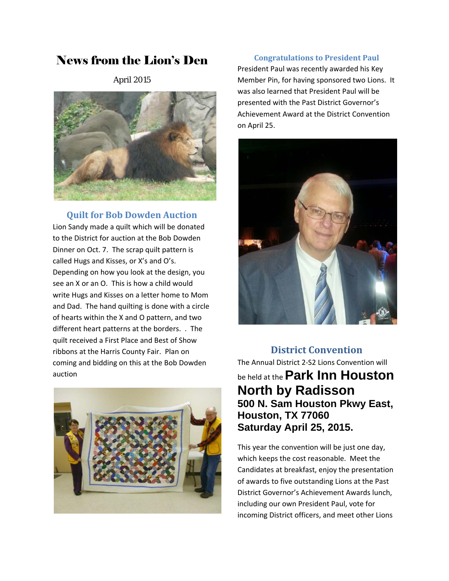# News from the Lion's Den

April 2015



### **Quilt for Bob Dowden Auction**

Lion Sandy made a quilt which will be donated to the District for auction at the Bob Dowden Dinner on Oct. 7. The scrap quilt pattern is called Hugs and Kisses, or X's and O's. Depending on how you look at the design, you see an X or an O. This is how a child would write Hugs and Kisses on a letter home to Mom and Dad. The hand quilting is done with a circle of hearts within the X and O pattern, and two different heart patterns at the borders. . The quilt received a First Place and Best of Show ribbons at the Harris County Fair. Plan on coming and bidding on this at the Bob Dowden auction



### **Congratulations to President Paul**

President Paul was recently awarded his Key Member Pin, for having sponsored two Lions. It was also learned that President Paul will be presented with the Past District Governor's Achievement Award at the District Convention on April 25.



## **District Convention**

The Annual District 2‐S2 Lions Convention will be held at the**Park Inn Houston North by Radisson 500 N. Sam Houston Pkwy East, Houston, TX 77060 Saturday April 25, 2015.**

This year the convention will be just one day, which keeps the cost reasonable. Meet the Candidates at breakfast, enjoy the presentation of awards to five outstanding Lions at the Past District Governor's Achievement Awards lunch, including our own President Paul, vote for incoming District officers, and meet other Lions